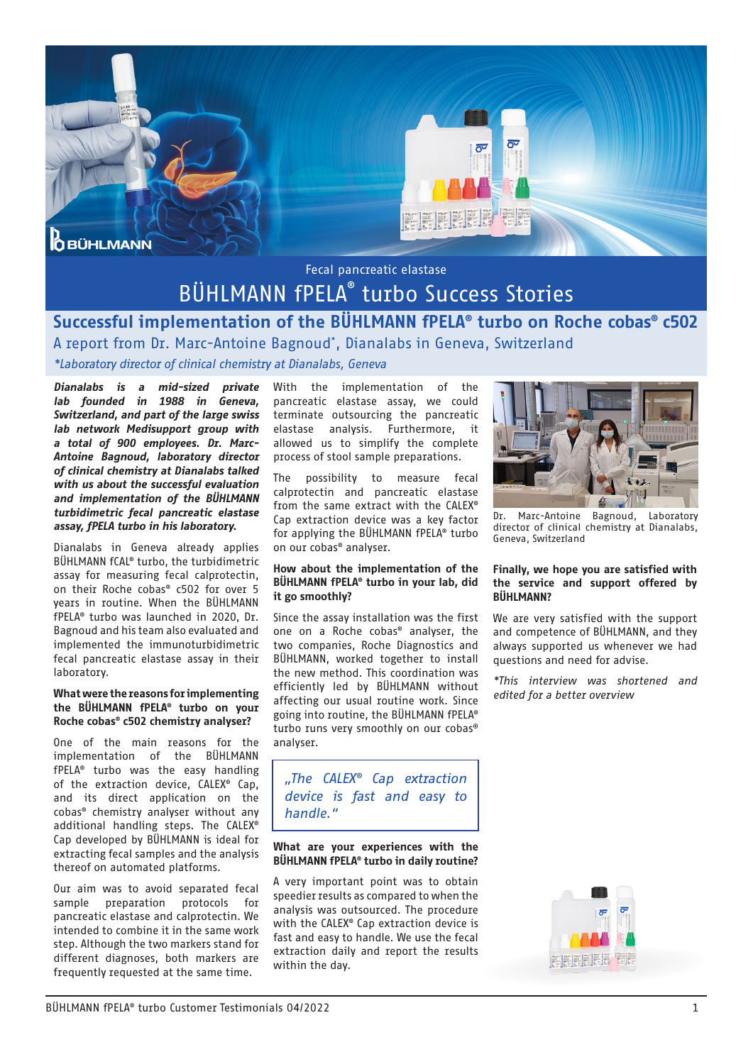

## BÜHLMANN fPELA® turbo Success Stories

## Successful implementation of the BÜHLMANN fPELA® turbo on Roche cobas® c502 A report from Dr. Marc-Antoine Bagnoud\* , Dianalabs in Geneva, Switzerland

*\*Laboratory director of clinical chemistry at Dianalabs, Geneva*

*Dianalabs is a mid-sized private lab founded in 1988 in Geneva, Switzerland, and part of the large swiss lab network Medisupport group with a total of 900 employees. Dr. Marc-Antoine Bagnoud, laboratory director of clinical chemistry at Dianalabs talked with us about the successful evaluation and implementation of the BÜHLMANN turbidimetric fecal pancreatic elastase assay, fPELA turbo in his laboratory.*

Dianalabs in Geneva already applies BÜHLMANN fCAL® turbo, the turbidimetric assay for measuring fecal calprotectin, on their Roche cobas® c502 for over 5 years in routine. When the BÜHLMANN fPELA® turbo was launched in 2020, Dr. Bagnoud and his team also evaluated and implemented the immunoturbidimetric fecal pancreatic elastase assay in their laboratory.

#### What were the reasons for implementing the BÜHLMANN fPELA® turbo on your Roche cobas® c502 chemistry analyser?

One of the main reasons for the implementation of the BÜHLMANN fPELA® turbo was the easy handling of the extraction device, CALEX® Cap, and its direct application on the cobas® chemistry analyser without any additional handling steps. The CALEX® Cap developed by BÜHLMANN is ideal for extracting fecal samples and the analysis thereof on automated platforms.

Our aim was to avoid separated fecal sample preparation protocols for pancreatic elastase and calprotectin. We intended to combine it in the same work step. Although the two markers stand for different diagnoses, both markers are frequently requested at the same time.

With the implementation of the pancreatic elastase assay, we could terminate outsourcing the pancreatic elastase analysis. Furthermore, it allowed us to simplify the complete process of stool sample preparations.

The possibility to measure fecal calprotectin and pancreatic elastase from the same extract with the CALEX® Cap extraction device was a key factor for applying the BÜHLMANN fPELA® turbo on our cobas® analyser.

#### How about the implementation of the BÜHLMANN fPELA® turbo in your lab, did it go smoothly?

Since the assay installation was the first one on a Roche cobas® analyser, the two companies, Roche Diagnostics and BÜHLMANN, worked together to install the new method. This coordination was efficiently led by BÜHLMANN without affecting our usual routine work. Since going into routine, the BÜHLMANN fPELA® turbo runs very smoothly on our cobas® analyser.

*"The CALEX® Cap extraction device is fast and easy to handle."*

#### What are your experiences with the BÜHLMANN fPELA® turbo in daily routine?

A very important point was to obtain speedier results as compared to when the analysis was outsourced. The procedure with the CALEX® Cap extraction device is fast and easy to handle. We use the fecal extraction daily and report the results within the day.



Dr. Marc-Antoine Bagnoud, Laboratory director of clinical chemistry at Dianalabs, Geneva, Switzerland

#### Finally, we hope you are satisfied with the service and support offered by BÜHLMANN?

We are very satisfied with the support and competence of BÜHLMANN, and they always supported us whenever we had questions and need for advise.

*\*This interview was shortened and edited for a better overview*